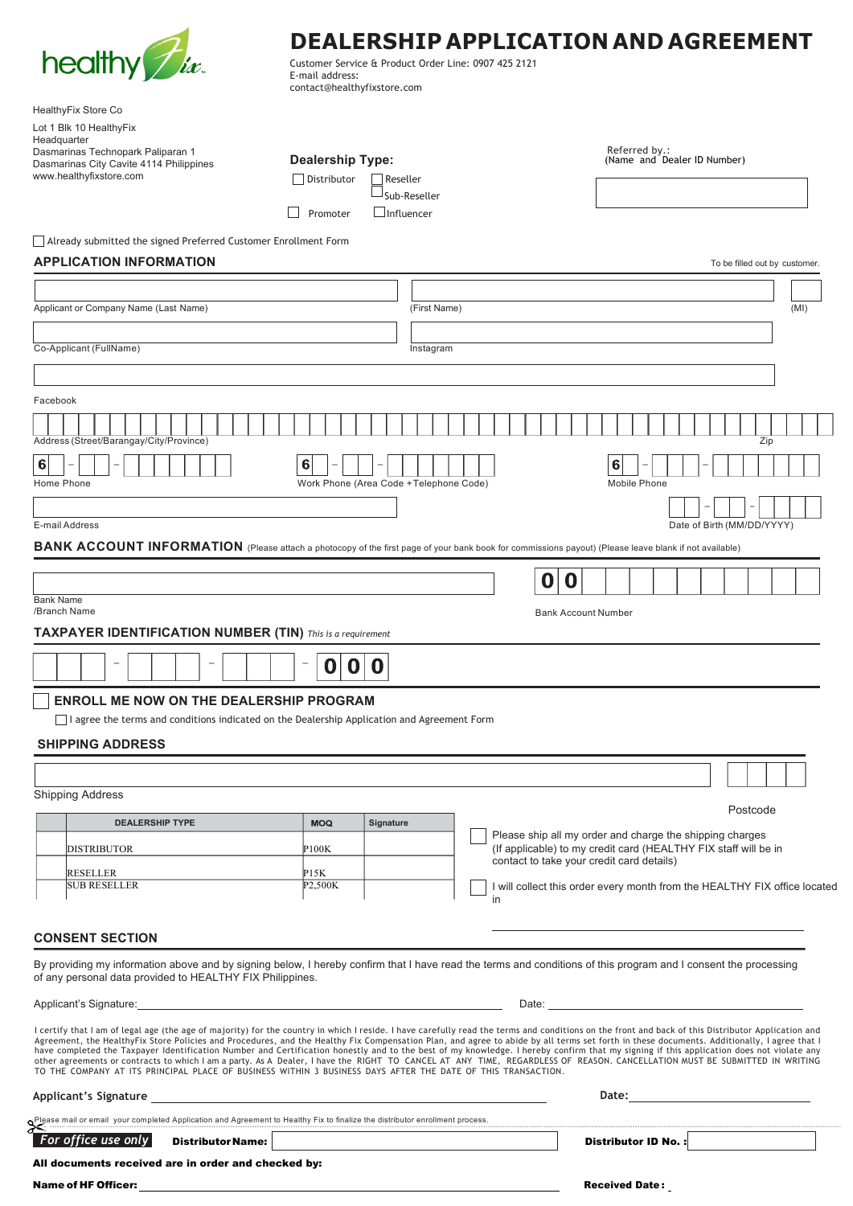

## **DEALERSHIP APPLICATION AND AGREEMENT**

Customer Service & Product Order Line: 0907 425 2121 E-mail address: contact@healthyfixstore.com

| HealthyFix Store Co                                                                                                                                                                                                                                                                                                                                                                                                                                                                                                                                                                                                                                                                                                                                                                                                                                                                      |                         |                                         |    |                                                                 |                                                                           |
|------------------------------------------------------------------------------------------------------------------------------------------------------------------------------------------------------------------------------------------------------------------------------------------------------------------------------------------------------------------------------------------------------------------------------------------------------------------------------------------------------------------------------------------------------------------------------------------------------------------------------------------------------------------------------------------------------------------------------------------------------------------------------------------------------------------------------------------------------------------------------------------|-------------------------|-----------------------------------------|----|-----------------------------------------------------------------|---------------------------------------------------------------------------|
| Lot 1 Blk 10 HealthyFix                                                                                                                                                                                                                                                                                                                                                                                                                                                                                                                                                                                                                                                                                                                                                                                                                                                                  |                         |                                         |    |                                                                 |                                                                           |
| Headquarter<br>Dasmarinas Technopark Paliparan 1                                                                                                                                                                                                                                                                                                                                                                                                                                                                                                                                                                                                                                                                                                                                                                                                                                         |                         |                                         |    | Referred by.:                                                   |                                                                           |
| Dasmarinas City Cavite 4114 Philippines                                                                                                                                                                                                                                                                                                                                                                                                                                                                                                                                                                                                                                                                                                                                                                                                                                                  | <b>Dealership Type:</b> |                                         |    | (Name and Dealer ID Number)                                     |                                                                           |
| www.healthyfixstore.com                                                                                                                                                                                                                                                                                                                                                                                                                                                                                                                                                                                                                                                                                                                                                                                                                                                                  | Distributor             | Reseller                                |    |                                                                 |                                                                           |
|                                                                                                                                                                                                                                                                                                                                                                                                                                                                                                                                                                                                                                                                                                                                                                                                                                                                                          |                         | Sub-Reseller                            |    |                                                                 |                                                                           |
|                                                                                                                                                                                                                                                                                                                                                                                                                                                                                                                                                                                                                                                                                                                                                                                                                                                                                          | Promoter                | $\Box$ Influencer                       |    |                                                                 |                                                                           |
| Already submitted the signed Preferred Customer Enrollment Form                                                                                                                                                                                                                                                                                                                                                                                                                                                                                                                                                                                                                                                                                                                                                                                                                          |                         |                                         |    |                                                                 |                                                                           |
| <b>APPLICATION INFORMATION</b>                                                                                                                                                                                                                                                                                                                                                                                                                                                                                                                                                                                                                                                                                                                                                                                                                                                           |                         |                                         |    |                                                                 |                                                                           |
|                                                                                                                                                                                                                                                                                                                                                                                                                                                                                                                                                                                                                                                                                                                                                                                                                                                                                          |                         |                                         |    |                                                                 | To be filled out by customer.                                             |
|                                                                                                                                                                                                                                                                                                                                                                                                                                                                                                                                                                                                                                                                                                                                                                                                                                                                                          |                         |                                         |    |                                                                 |                                                                           |
| Applicant or Company Name (Last Name)                                                                                                                                                                                                                                                                                                                                                                                                                                                                                                                                                                                                                                                                                                                                                                                                                                                    |                         | (First Name)                            |    |                                                                 | (MI)                                                                      |
|                                                                                                                                                                                                                                                                                                                                                                                                                                                                                                                                                                                                                                                                                                                                                                                                                                                                                          |                         |                                         |    |                                                                 |                                                                           |
| Co-Applicant (FullName)                                                                                                                                                                                                                                                                                                                                                                                                                                                                                                                                                                                                                                                                                                                                                                                                                                                                  |                         | Instagram                               |    |                                                                 |                                                                           |
|                                                                                                                                                                                                                                                                                                                                                                                                                                                                                                                                                                                                                                                                                                                                                                                                                                                                                          |                         |                                         |    |                                                                 |                                                                           |
|                                                                                                                                                                                                                                                                                                                                                                                                                                                                                                                                                                                                                                                                                                                                                                                                                                                                                          |                         |                                         |    |                                                                 |                                                                           |
| Facebook                                                                                                                                                                                                                                                                                                                                                                                                                                                                                                                                                                                                                                                                                                                                                                                                                                                                                 |                         |                                         |    |                                                                 |                                                                           |
|                                                                                                                                                                                                                                                                                                                                                                                                                                                                                                                                                                                                                                                                                                                                                                                                                                                                                          |                         |                                         |    |                                                                 |                                                                           |
| Address (Street/Barangay/City/Province)                                                                                                                                                                                                                                                                                                                                                                                                                                                                                                                                                                                                                                                                                                                                                                                                                                                  |                         |                                         |    |                                                                 | Zip                                                                       |
| 6                                                                                                                                                                                                                                                                                                                                                                                                                                                                                                                                                                                                                                                                                                                                                                                                                                                                                        | 6                       |                                         |    | 6                                                               |                                                                           |
| Home Phone                                                                                                                                                                                                                                                                                                                                                                                                                                                                                                                                                                                                                                                                                                                                                                                                                                                                               |                         | Work Phone (Area Code + Telephone Code) |    | Mobile Phone                                                    |                                                                           |
|                                                                                                                                                                                                                                                                                                                                                                                                                                                                                                                                                                                                                                                                                                                                                                                                                                                                                          |                         |                                         |    |                                                                 |                                                                           |
| E-mail Address                                                                                                                                                                                                                                                                                                                                                                                                                                                                                                                                                                                                                                                                                                                                                                                                                                                                           |                         |                                         |    |                                                                 | Date of Birth (MM/DD/YYYY)                                                |
| BANK ACCOUNT INFORMATION (Please attach a photocopy of the first page of your bank book for commissions payout) (Please leave blank if not available)                                                                                                                                                                                                                                                                                                                                                                                                                                                                                                                                                                                                                                                                                                                                    |                         |                                         |    |                                                                 |                                                                           |
|                                                                                                                                                                                                                                                                                                                                                                                                                                                                                                                                                                                                                                                                                                                                                                                                                                                                                          |                         |                                         |    |                                                                 |                                                                           |
|                                                                                                                                                                                                                                                                                                                                                                                                                                                                                                                                                                                                                                                                                                                                                                                                                                                                                          |                         |                                         | 0  | 0                                                               |                                                                           |
| <b>Bank Name</b>                                                                                                                                                                                                                                                                                                                                                                                                                                                                                                                                                                                                                                                                                                                                                                                                                                                                         |                         |                                         |    |                                                                 |                                                                           |
| /Branch Name                                                                                                                                                                                                                                                                                                                                                                                                                                                                                                                                                                                                                                                                                                                                                                                                                                                                             |                         |                                         |    | <b>Bank Account Number</b>                                      |                                                                           |
| <b>TAXPAYER IDENTIFICATION NUMBER (TIN)</b> This is a requirement                                                                                                                                                                                                                                                                                                                                                                                                                                                                                                                                                                                                                                                                                                                                                                                                                        |                         |                                         |    |                                                                 |                                                                           |
|                                                                                                                                                                                                                                                                                                                                                                                                                                                                                                                                                                                                                                                                                                                                                                                                                                                                                          | 0<br>O<br>0             |                                         |    |                                                                 |                                                                           |
| <b>ENROLL ME NOW ON THE DEALERSHIP PROGRAM</b>                                                                                                                                                                                                                                                                                                                                                                                                                                                                                                                                                                                                                                                                                                                                                                                                                                           |                         |                                         |    |                                                                 |                                                                           |
| I agree the terms and conditions indicated on the Dealership Application and Agreement Form                                                                                                                                                                                                                                                                                                                                                                                                                                                                                                                                                                                                                                                                                                                                                                                              |                         |                                         |    |                                                                 |                                                                           |
|                                                                                                                                                                                                                                                                                                                                                                                                                                                                                                                                                                                                                                                                                                                                                                                                                                                                                          |                         |                                         |    |                                                                 |                                                                           |
| <b>SHIPPING ADDRESS</b>                                                                                                                                                                                                                                                                                                                                                                                                                                                                                                                                                                                                                                                                                                                                                                                                                                                                  |                         |                                         |    |                                                                 |                                                                           |
|                                                                                                                                                                                                                                                                                                                                                                                                                                                                                                                                                                                                                                                                                                                                                                                                                                                                                          |                         |                                         |    |                                                                 |                                                                           |
| <b>Shipping Address</b>                                                                                                                                                                                                                                                                                                                                                                                                                                                                                                                                                                                                                                                                                                                                                                                                                                                                  |                         |                                         |    |                                                                 |                                                                           |
|                                                                                                                                                                                                                                                                                                                                                                                                                                                                                                                                                                                                                                                                                                                                                                                                                                                                                          |                         |                                         |    |                                                                 | Postcode                                                                  |
| <b>DEALERSHIP TYPE</b>                                                                                                                                                                                                                                                                                                                                                                                                                                                                                                                                                                                                                                                                                                                                                                                                                                                                   | <b>MOQ</b>              | Signature                               |    | Please ship all my order and charge the shipping charges        |                                                                           |
| DISTRIBUTOR                                                                                                                                                                                                                                                                                                                                                                                                                                                                                                                                                                                                                                                                                                                                                                                                                                                                              | P100K                   |                                         |    | (If applicable) to my credit card (HEALTHY FIX staff will be in |                                                                           |
| <b>RESELLER</b>                                                                                                                                                                                                                                                                                                                                                                                                                                                                                                                                                                                                                                                                                                                                                                                                                                                                          | P15K                    |                                         |    | contact to take your credit card details)                       |                                                                           |
| <b>SUB RESELLER</b>                                                                                                                                                                                                                                                                                                                                                                                                                                                                                                                                                                                                                                                                                                                                                                                                                                                                      | P2,500K                 |                                         |    |                                                                 | I will collect this order every month from the HEALTHY FIX office located |
|                                                                                                                                                                                                                                                                                                                                                                                                                                                                                                                                                                                                                                                                                                                                                                                                                                                                                          |                         |                                         | in |                                                                 |                                                                           |
|                                                                                                                                                                                                                                                                                                                                                                                                                                                                                                                                                                                                                                                                                                                                                                                                                                                                                          |                         |                                         |    |                                                                 |                                                                           |
| <b>CONSENT SECTION</b>                                                                                                                                                                                                                                                                                                                                                                                                                                                                                                                                                                                                                                                                                                                                                                                                                                                                   |                         |                                         |    |                                                                 |                                                                           |
| By providing my information above and by signing below, I hereby confirm that I have read the terms and conditions of this program and I consent the processing                                                                                                                                                                                                                                                                                                                                                                                                                                                                                                                                                                                                                                                                                                                          |                         |                                         |    |                                                                 |                                                                           |
| of any personal data provided to HEALTHY FIX Philippines.                                                                                                                                                                                                                                                                                                                                                                                                                                                                                                                                                                                                                                                                                                                                                                                                                                |                         |                                         |    |                                                                 |                                                                           |
| Applicant's Signature: <u>contract and contract and contract and contract and contract and contract and contract and contract and contract and contract and contract and contract and contract and contract and contract and con</u>                                                                                                                                                                                                                                                                                                                                                                                                                                                                                                                                                                                                                                                     |                         |                                         |    |                                                                 |                                                                           |
| I certify that I am of legal age (the age of majority) for the country in which I reside. I have carefully read the terms and conditions on the front and back of this Distributor Application and<br>Agreement, the HealthyFix Store Policies and Procedures, and the Healthy Fix Compensation Plan, and agree to abide by all terms set forth in these documents. Additionally, I agree that I<br>have completed the Taxpayer Identification Number and Certification honestly and to the best of my knowledge. I hereby confirm that my signing if this application does not violate any<br>other agreements or contracts to which I am a party. As A Dealer, I have the RIGHT TO CANCEL AT ANY TIME, REGARDLESS OF REASON. CANCELLATION MUST BE SUBMITTED IN WRITING<br>TO THE COMPANY AT ITS PRINCIPAL PLACE OF BUSINESS WITHIN 3 BUSINESS DAYS AFTER THE DATE OF THIS TRANSACTION. |                         |                                         |    |                                                                 |                                                                           |
| Applicant's Signature entrance and the state of the state of the state of the state of the state of the state of the state of the state of the state of the state of the state of the state of the state of the state of the s                                                                                                                                                                                                                                                                                                                                                                                                                                                                                                                                                                                                                                                           |                         |                                         |    |                                                                 |                                                                           |
| Please mail or email your completed Application and Agreement to Healthy Fix to finalize the distributor enrollment process.                                                                                                                                                                                                                                                                                                                                                                                                                                                                                                                                                                                                                                                                                                                                                             |                         |                                         |    |                                                                 |                                                                           |
| For office use only<br><b>Distributor Name:</b>                                                                                                                                                                                                                                                                                                                                                                                                                                                                                                                                                                                                                                                                                                                                                                                                                                          |                         |                                         |    | Distributor ID No.:                                             |                                                                           |
| All documents received are in order and checked by:                                                                                                                                                                                                                                                                                                                                                                                                                                                                                                                                                                                                                                                                                                                                                                                                                                      |                         |                                         |    |                                                                 |                                                                           |

Name of HF Officer: **Received Date :** Received Date : Received Date :  $\overline{\phantom{a}}$  Received Date :  $\overline{\phantom{a}}$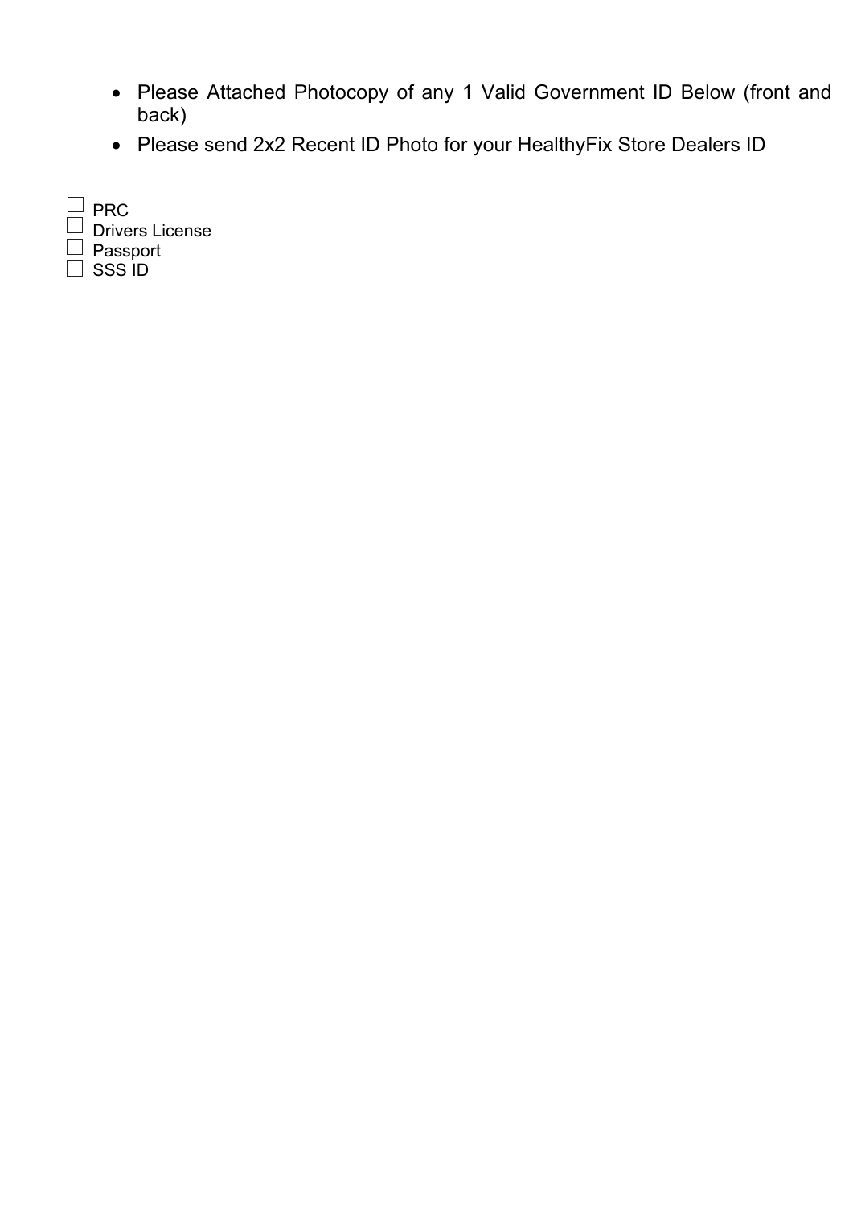- Please Attached Photocopy of any 1 Valid Government ID Below (front and back)
- Please send 2x2 Recent ID Photo for your HealthyFix Store Dealers ID

| <b>PRC</b>             |
|------------------------|
| <b>Drivers License</b> |
| Passport               |
| SSS ID                 |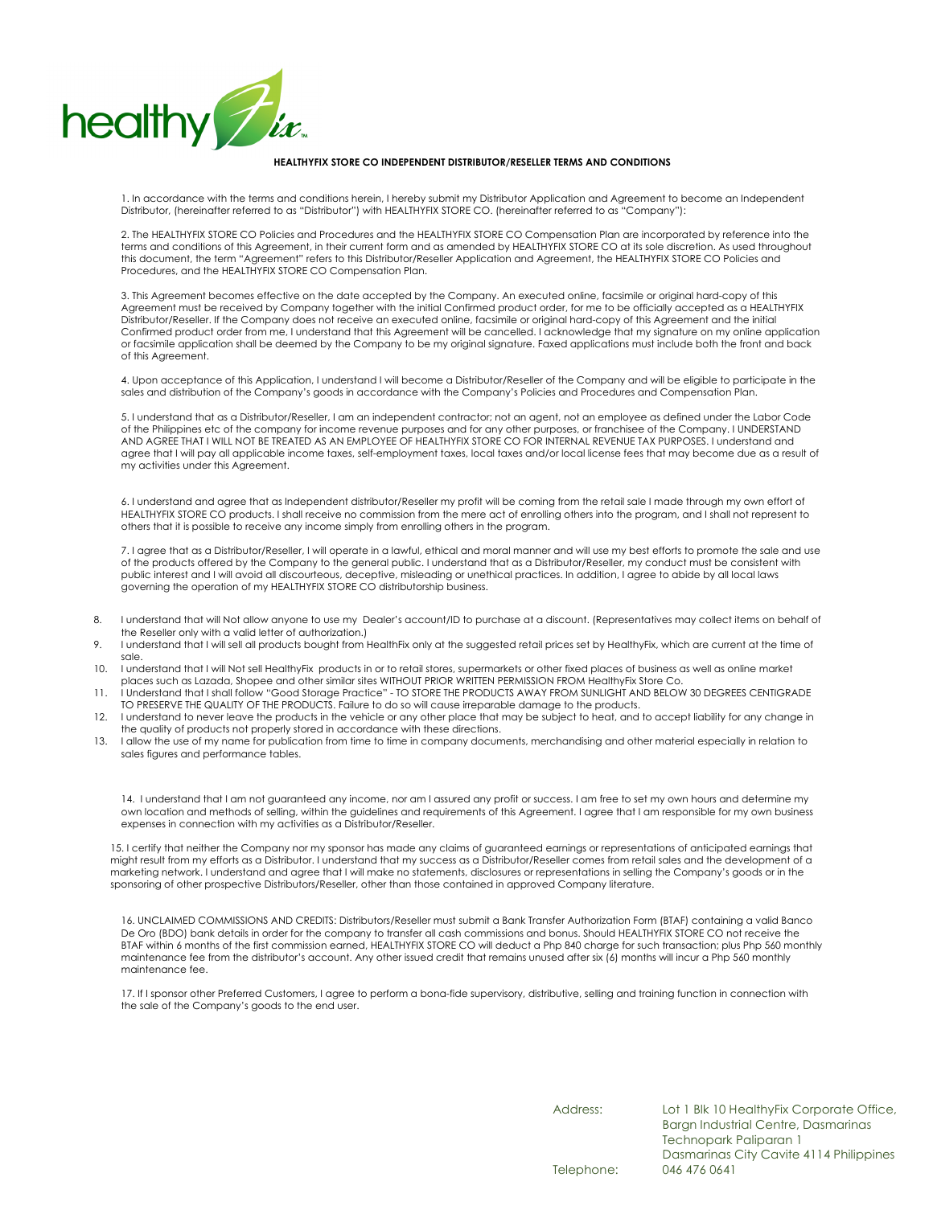

## **HEALTHYFIX STORE CO INDEPENDENT DISTRIBUTOR/RESELLER TERMS AND CONDITIONS**

1. In accordance with the terms and conditions herein, I hereby submit my Distributor Application and Agreement to become an Independent Distributor, (hereinafter referred to as "Distributor") with HEALTHYFIX STORE CO. (hereinafter referred to as "Company"):

2. The HEALTHYFIX STORE CO Policies and Procedures and the HEALTHYFIX STORE CO Compensation Plan are incorporated by reference into the terms and conditions of this Agreement, in their current form and as amended by HEALTHYFIX STORE CO at its sole discretion. As used throughout this document, the term "Agreement" refers to this Distributor/Reseller Application and Agreement, the HEALTHYFIX STORE CO Policies and Procedures, and the HEALTHYFIX STORE CO Compensation Plan.

3. This Agreement becomes effective on the date accepted by the Company. An executed online, facsimile or original hard-copy of this Agreement must be received by Company together with the initial Confirmed product order, for me to be officially accepted as a HEALTHYFIX Distributor/Reseller. If the Company does not receive an executed online, facsimile or original hard-copy of this Agreement and the initial Confirmed product order from me, I understand that this Agreement will be cancelled. I acknowledge that my signature on my online application or facsimile application shall be deemed by the Company to be my original signature. Faxed applications must include both the front and back of this Agreement.

4. Upon acceptance of this Application, I understand I will become a Distributor/Reseller of the Company and will be eligible to participate in the sales and distribution of the Company's goods in accordance with the Company's Policies and Procedures and Compensation Plan.

5. I understand that as a Distributor/Reseller, I am an independent contractor; not an agent, not an employee as defined under the Labor Code of the Philippines etc of the company for income revenue purposes and for any other purposes, or franchisee of the Company. I UNDERSTAND AND AGREE THAT I WILL NOT BE TREATED AS AN EMPLOYEE OF HEALTHYFIX STORE CO FOR INTERNAL REVENUE TAX PURPOSES. I understand and agree that I will pay all applicable income taxes, self-employment taxes, local taxes and/or local license fees that may become due as a result of my activities under this Agreement.

6. I understand and agree that as Independent distributor/Reseller my profit will be coming from the retail sale I made through my own effort of HEALTHYFIX STORE CO products. I shall receive no commission from the mere act of enrolling others into the program, and I shall not represent to others that it is possible to receive any income simply from enrolling others in the program.

7. I agree that as a Distributor/Reseller, I will operate in a lawful, ethical and moral manner and will use my best efforts to promote the sale and use of the products offered by the Company to the general public. I understand that as a Distributor/Reseller, my conduct must be consistent with public interest and I will avoid all discourteous, deceptive, misleading or unethical practices. In addition, I agree to abide by all local laws governing the operation of my HEALTHYFIX STORE CO distributorship business.

- 8. I understand that will Not allow anyone to use my Dealer's account/ID to purchase at a discount. (Representatives may collect items on behalf of the Reseller only with a valid letter of authorization.)
- 9. I understand that I will sell all products bought from HealthFix only at the suggested retail prices set by HealthyFix, which are current at the time of sale.
- 10. I understand that I will Not sell HealthyFix products in or to retail stores, supermarkets or other fixed places of business as well as online market<br>places such as Lazada, Shopee and other similar sites WITHOUT PRIOR
- 11. I Understand that I shall follow "Good Storage Practice" TO STORE THE PRODUCTS AWAY FROM SUNLIGHT AND BELOW 30 DEGREES CENTIGRADE
- TO PRESERVE THE QUALITY OF THE PRODUCTS. Failure to do so will cause irreparable damage to the products.<br>12. I understand to never leave the products in the vehicle or any other place that may be subject to heat, and to ac the quality of products not properly stored in accordance with these directions.
- 13. I allow the use of my name for publication from time to time in company documents, merchandising and other material especially in relation to sales figures and performance tables.

14. I understand that I am not guaranteed any income, nor am I assured any profit or success. I am free to set my own hours and determine my own location and methods of selling, within the guidelines and requirements of this Agreement. I agree that I am responsible for my own business expenses in connection with my activities as a Distributor/Reseller.

15. I certify that neither the Company nor my sponsor has made any claims of guaranteed earnings or representations of anticipated earnings that might result from my efforts as a Distributor. I understand that my success as a Distributor/Reseller comes from retail sales and the development of a marketing network. I understand and agree that I will make no statements, disclosures or representations in selling the Company's goods or in the sponsoring of other prospective Distributors/Reseller, other than those contained in approved Company literature.

16. UNCLAIMED COMMISSIONS AND CREDITS: Distributors/Reseller must submit a Bank Transfer Authorization Form (BTAF) containing a valid Banco De Oro (BDO) bank details in order for the company to transfer all cash commissions and bonus. Should HEALTHYFIX STORE CO not receive the BTAF within 6 months of the first commission earned, HEALTHYFIX STORE CO will deduct a Php 840 charge for such transaction; plus Php 560 monthly maintenance fee from the distributor's account. Any other issued credit that remains unused after six (6) months will incur a Php 560 monthly maintenance fee.

17. If I sponsor other Preferred Customers, I agree to perform a bona-fide supervisory, distributive, selling and training function in connection with the sale of the Company's goods to the end user.

Address: Lot 1 Blk 10 HealthyFix Corporate Office, Bargn Industrial Centre, Dasmarinas Technopark Paliparan 1 Dasmarinas City Cavite 4114 Philippines Telephone: 046 476 0641